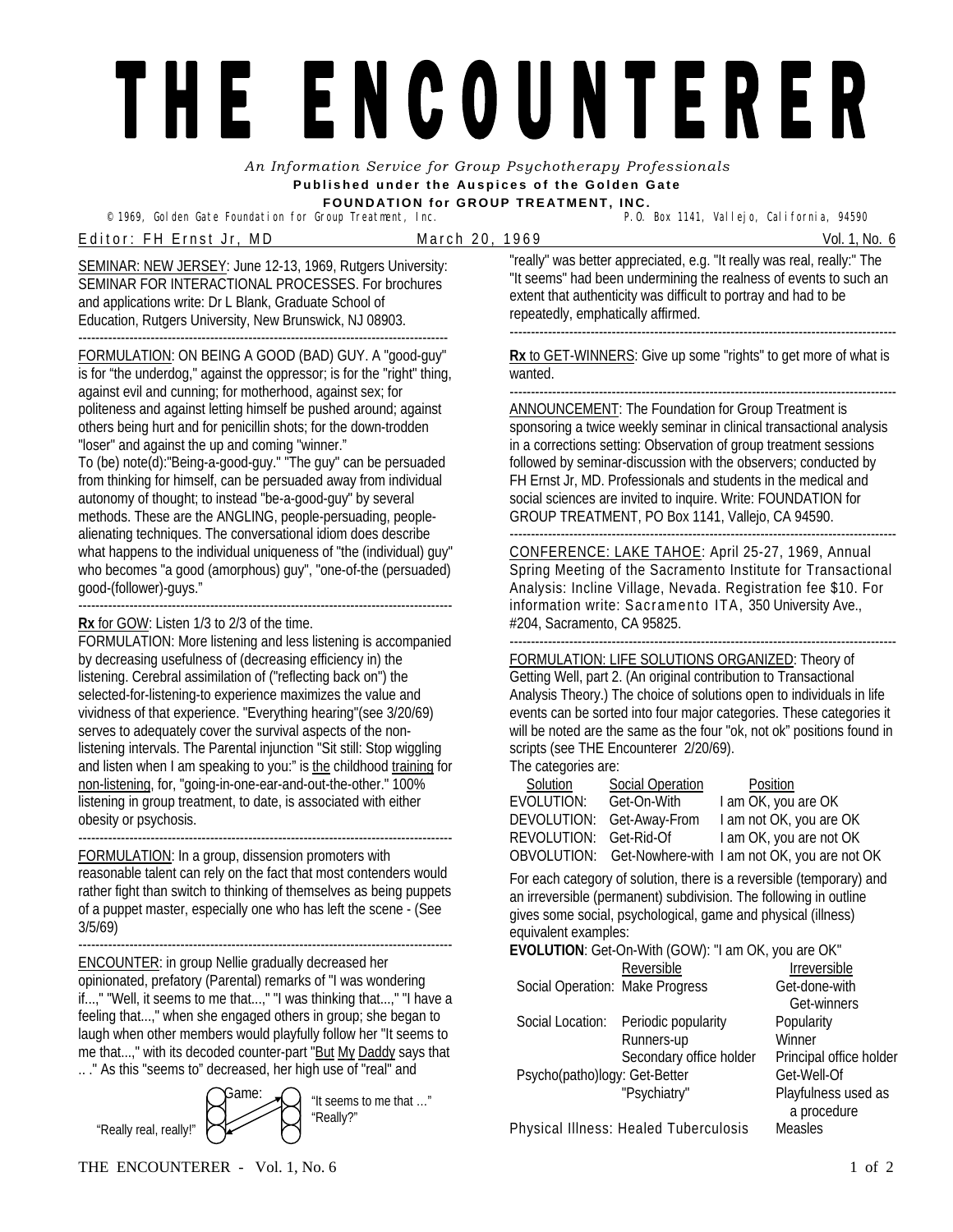## THE ENCOUNTERER

*An Information Service for Group Psychotherapy Professionals*  **Published under the Auspices of the Golden Gate FOUNDATION for GROUP TREATMENT, INC.** 

<sup>©</sup> 1969, Golden Gate Foundation for Group Treatment, Inc.

E ditor: FH Ernst Jr, MD March 20, 1969 March 20, 1999 Vol. 1, No. 6

SEMINAR: NEW JERSEY: June 12-13, 1969, Rutgers University: SEMINAR FOR INTERACTIONAL PROCESSES. For brochures and applications write: Dr L Blank, Graduate School of Education, Rutgers University, New Brunswick, NJ 08903.

--------------------------------------------------------------------------------------- FORMULATION: ON BEING A GOOD (BAD) GUY. A "good-guy" is for "the underdog," against the oppressor; is for the "right" thing, against evil and cunning; for motherhood, against sex; for politeness and against letting himself be pushed around; against others being hurt and for penicillin shots; for the down-trodden "loser" and against the up and coming "winner."

To (be) note(d):"Being-a-good-guy." "The guy" can be persuaded from thinking for himself, can be persuaded away from individual autonomy of thought; to instead "be-a-good-guy" by several methods. These are the ANGLING, people-persuading, peoplealienating techniques. The conversational idiom does describe what happens to the individual uniqueness of "the (individual) guy" who becomes "a good (amorphous) guy", "one-of-the (persuaded) good-(follower)-guys."

---------------------------------------------------------------------------------------- **Rx** for GOW: Listen 1/3 to 2/3 of the time.

FORMULATION: More listening and less listening is accompanied by decreasing usefulness of (decreasing efficiency in) the listening. Cerebral assimilation of ("reflecting back on") the selected-for-listening-to experience maximizes the value and vividness of that experience. "Everything hearing"(see 3/20/69) serves to adequately cover the survival aspects of the nonlistening intervals. The Parental injunction "Sit still: Stop wiggling and listen when I am speaking to you:" is the childhood training for non-listening, for, "going-in-one-ear-and-out-the-other." 100% listening in group treatment, to date, is associated with either obesity or psychosis.

---------------------------------------------------------------------------------------- FORMULATION: In a group, dissension promoters with reasonable talent can rely on the fact that most contenders would rather fight than switch to thinking of themselves as being puppets of a puppet master, especially one who has left the scene - (See 3/5/69)

---------------------------------------------------------------------------------------- ENCOUNTER: in group Nellie gradually decreased her opinionated, prefatory (Parental) remarks of "I was wondering if...," "Well, it seems to me that...," "I was thinking that...," "I have a feeling that...," when she engaged others in group; she began to laugh when other members would playfully follow her "It seems to me that...," with its decoded counter-part "But My Daddy says that .. ." As this "seems to" decreased, her high use of "real" and



"really" was better appreciated, e.g. "It really was real, really:" The "It seems" had been undermining the realness of events to such an extent that authenticity was difficult to portray and had to be repeatedly, emphatically affirmed. -------------------------------------------------------------------------------------------

**Rx** to GET-WINNERS: Give up some "rights" to get more of what is wanted.

------------------------------------------------------------------------------------------- ANNOUNCEMENT: The Foundation for Group Treatment is

sponsoring a twice weekly seminar in clinical transactional analysis in a corrections setting: Observation of group treatment sessions followed by seminar-discussion with the observers; conducted by FH Ernst Jr, MD. Professionals and students in the medical and social sciences are invited to inquire. Write: FOUNDATION for GROUP TREATMENT, PO Box 1141, Vallejo, CA 94590. -------------------------------------------------------------------------------------------

CONFERENCE: LAKE TAHOE: April 25-27, 1969, Annual Spring Meeting of the Sacramento Institute for Transactional Analysis: Incline Village, Nevada. Registration fee \$10. For information write: Sacramento ITA, 350 University Ave., #204, Sacramento, CA 95825.

------------------------------------------------------------------------------------------- FORMULATION: LIFE SOLUTIONS ORGANIZED: Theory of Getting Well, part 2. (An original contribution to Transactional Analysis Theory.) The choice of solutions open to individuals in life events can be sorted into four major categories. These categories it will be noted are the same as the four "ok, not ok" positions found in scripts (see THE Encounterer 2/20/69). The categories are:

| Solution                  | Social Operation | Position                                                 |
|---------------------------|------------------|----------------------------------------------------------|
| EVOLUTION:                | Get-On-With      | I am OK, you are OK                                      |
| DEVOLUTION: Get-Away-From |                  | I am not OK, you are OK                                  |
| REVOLUTION: Get-Rid-Of    |                  | I am OK, you are not OK                                  |
|                           |                  | OBVOLUTION: Get-Nowhere-with I am not OK, you are not OK |

For each category of solution, there is a reversible (temporary) and an irreversible (permanent) subdivision. The following in outline gives some social, psychological, game and physical (illness) equivalent examples:

**EVOLUTION**: Get-On-With (GOW): "I am OK, you are OK" Reversible Irreversible Social Operation: Make Progress Get-done-with Get-winners Social Location: Periodic popularity Popularity Runners-up Winner Secondary office holder Principal office holder Psycho(patho)logy: Get-Better Get-Well-Of Game:  $\bigcap_{i=1}^{\infty}$  at complete method is not exactly in the exactly experiment of the exactly in the exactly exactly in the exactly exactly exactly exactly exactly exactly exactly exactly exactly exactly exactly exactly a procedure Physical Illness: Healed Tuberculosis Measles